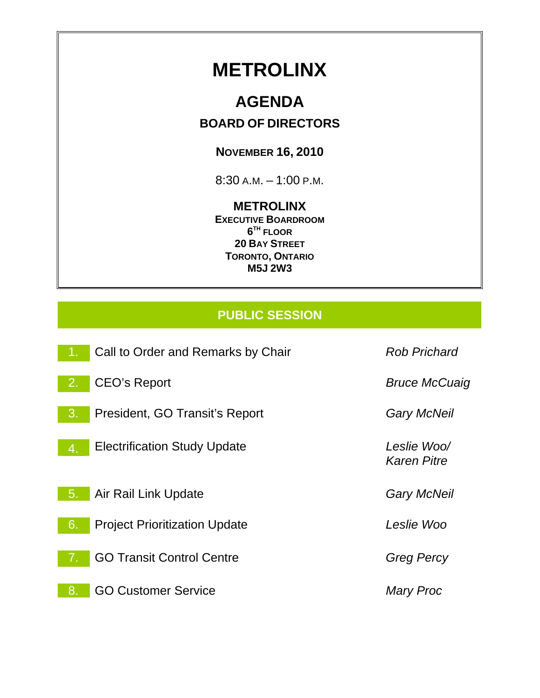# **METROLINX**

# **AGENDA**

## **BOARD OF DIRECTORS**

# **NOVEMBER 16, 2010**

8:30 A.M. – 1:00 P.M.

## **METROLINX**

**EXECUTIVE BOARDROOM 6TH FLOOR 20 BAY STREET TORONTO, ONTARIO M5J 2W3** 

# **PUBLIC SESSION**

| 43 | Call to Order and Remarks by Chair   | <b>Rob Prichard</b>               |
|----|--------------------------------------|-----------------------------------|
| 2. | <b>CEO's Report</b>                  | <b>Bruce McCuaig</b>              |
| 3. | President, GO Transit's Report       | <b>Gary McNeil</b>                |
| 4. | <b>Electrification Study Update</b>  | Leslie Woo/<br><b>Karen Pitre</b> |
| 5. | Air Rail Link Update                 | <b>Gary McNeil</b>                |
| 6. | <b>Project Prioritization Update</b> | Leslie Woo                        |
| 7. | <b>GO Transit Control Centre</b>     | <b>Greg Percy</b>                 |
| 8. | <b>GO Customer Service</b>           | <b>Mary Proc</b>                  |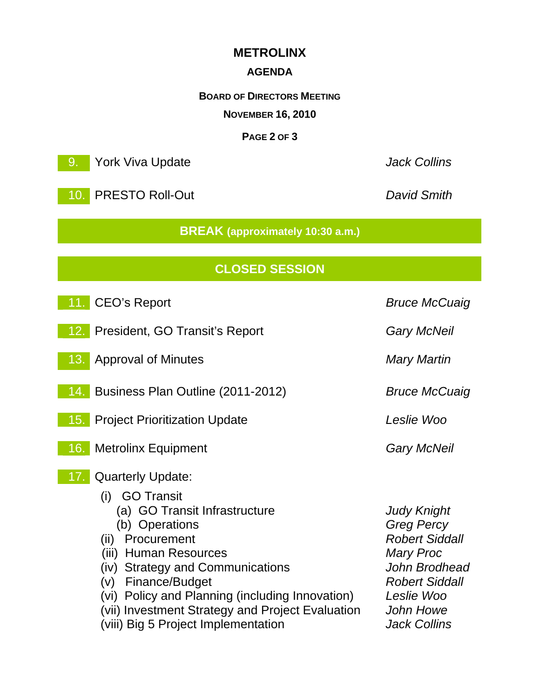## **METROLINX**

#### **AGENDA**

**BOARD OF DIRECTORS MEETING**

**NOVEMBER 16, 2010** 

#### **PAGE 2 OF 3**

9. York Viva Update *Jack Collins* 

10. PRESTO Roll-Out *David Smith* 

**BREAK (approximately 10:30 a.m.)**

# **CLOSED SESSION**

| <b>CEO's Report</b><br>11.1                                                                                                                                                                                                                                                                                                                                  | <b>Bruce McCuaig</b>                                                                                                                                                             |
|--------------------------------------------------------------------------------------------------------------------------------------------------------------------------------------------------------------------------------------------------------------------------------------------------------------------------------------------------------------|----------------------------------------------------------------------------------------------------------------------------------------------------------------------------------|
| 12. President, GO Transit's Report                                                                                                                                                                                                                                                                                                                           | <b>Gary McNeil</b>                                                                                                                                                               |
| <b>Approval of Minutes</b><br>13.                                                                                                                                                                                                                                                                                                                            | <b>Mary Martin</b>                                                                                                                                                               |
| 14. Business Plan Outline (2011-2012)                                                                                                                                                                                                                                                                                                                        | <b>Bruce McCuaig</b>                                                                                                                                                             |
| 15. Project Prioritization Update                                                                                                                                                                                                                                                                                                                            | Leslie Woo                                                                                                                                                                       |
| 16. Metrolinx Equipment                                                                                                                                                                                                                                                                                                                                      | <b>Gary McNeil</b>                                                                                                                                                               |
| <b>Quarterly Update:</b><br>17.<br>(i) GO Transit<br>(a) GO Transit Infrastructure<br>(b) Operations<br>Procurement<br>(ii)<br>(iii) Human Resources<br>(iv) Strategy and Communications<br>(v) Finance/Budget<br>(vi) Policy and Planning (including Innovation)<br>(vii) Investment Strategy and Project Evaluation<br>(viii) Big 5 Project Implementation | <b>Judy Knight</b><br><b>Greg Percy</b><br><b>Robert Siddall</b><br><b>Mary Proc</b><br>John Brodhead<br><b>Robert Siddall</b><br>Leslie Woo<br>John Howe<br><b>Jack Collins</b> |